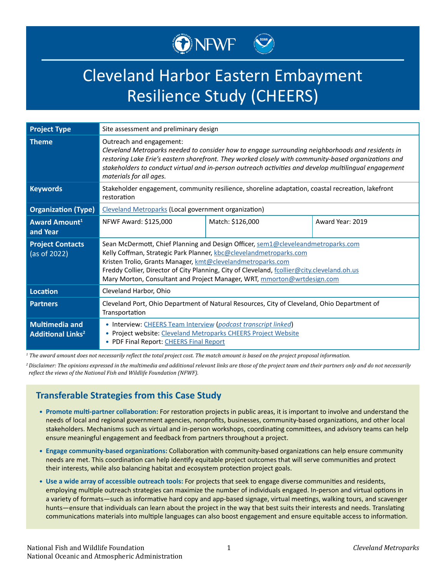

# Cleveland Harbor Eastern Embayment Resilience Study (CHEERS)

| <b>Project Type</b>                                          | Site assessment and preliminary design                                                                                                                                                                                                                                                                                                                                                          |                  |                  |
|--------------------------------------------------------------|-------------------------------------------------------------------------------------------------------------------------------------------------------------------------------------------------------------------------------------------------------------------------------------------------------------------------------------------------------------------------------------------------|------------------|------------------|
| <b>Theme</b>                                                 | Outreach and engagement:<br>Cleveland Metroparks needed to consider how to engage surrounding neighborhoods and residents in<br>restoring Lake Erie's eastern shorefront. They worked closely with community-based organizations and<br>stakeholders to conduct virtual and in-person outreach activities and develop multilingual engagement<br>materials for all ages.                        |                  |                  |
| <b>Keywords</b>                                              | Stakeholder engagement, community resilience, shoreline adaptation, coastal recreation, lakefront<br>restoration                                                                                                                                                                                                                                                                                |                  |                  |
| <b>Organization (Type)</b>                                   | <b>Cleveland Metroparks (Local government organization)</b>                                                                                                                                                                                                                                                                                                                                     |                  |                  |
| <b>Award Amount</b> <sup>1</sup><br>and Year                 | NFWF Award: \$125,000                                                                                                                                                                                                                                                                                                                                                                           | Match: \$126,000 | Award Year: 2019 |
| <b>Project Contacts</b><br>(as of 2022)                      | Sean McDermott, Chief Planning and Design Officer, sem1@cleveleandmetroparks.com<br>Kelly Coffman, Strategic Park Planner, kbc@clevelandmetroparks.com<br>Kristen Trolio, Grants Manager, kmt@clevelandmetroparks.com<br>Freddy Collier, Director of City Planning, City of Cleveland, fcollier@city.cleveland.oh.us<br>Mary Morton, Consultant and Project Manager, WRT, mmorton@wrtdesign.com |                  |                  |
| Location                                                     | Cleveland Harbor, Ohio                                                                                                                                                                                                                                                                                                                                                                          |                  |                  |
| <b>Partners</b>                                              | Cleveland Port, Ohio Department of Natural Resources, City of Cleveland, Ohio Department of<br>Transportation                                                                                                                                                                                                                                                                                   |                  |                  |
| <b>Multimedia and</b><br><b>Additional Links<sup>2</sup></b> | • Interview: CHEERS Team Interview (podcast transcript linked)<br>• Project website: Cleveland Metroparks CHEERS Project Website<br>• PDF Final Report: CHEERS Final Report                                                                                                                                                                                                                     |                  |                  |

*1 The award amount does not necessarily reflect the total project cost. The match amount is based on the project proposal information.*

*<sup>2</sup>Disclaimer: The opinions expressed in the multimedia and additional relevant links are those of the project team and their partners only and do not necessarily reflect the views of the National Fish and Wildlife Foundation (NFWF).*

# **Transferable Strategies from this Case Study**

- **• Promote multi-partner collaboration:** For restoration projects in public areas, it is important to involve and understand the needs of local and regional government agencies, nonprofits, businesses, community-based organizations, and other local stakeholders. Mechanisms such as virtual and in-person workshops, coordinating committees, and advisory teams can help ensure meaningful engagement and feedback from partners throughout a project.
- **• Engage community-based organizations:** Collaboration with community-based organizations can help ensure community needs are met. This coordination can help identify equitable project outcomes that will serve communities and protect their interests, while also balancing habitat and ecosystem protection project goals.
- **• Use a wide array of accessible outreach tools:** For projects that seek to engage diverse communities and residents, employing multiple outreach strategies can maximize the number of individuals engaged. In-person and virtual options in a variety of formats—such as informative hard copy and app-based signage, virtual meetings, walking tours, and scavenger hunts—ensure that individuals can learn about the project in the way that best suits their interests and needs. Translating communications materials into multiple languages can also boost engagement and ensure equitable access to information.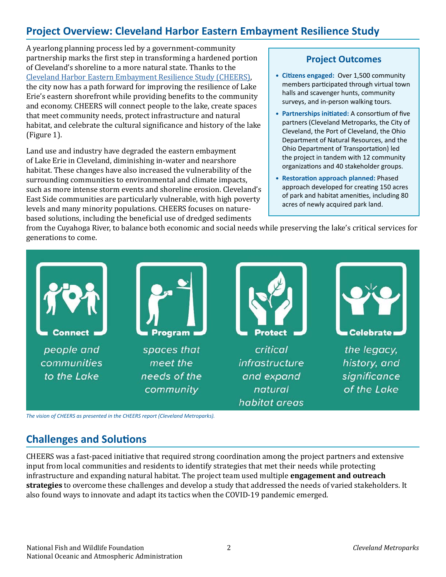# **Project Overview: Cleveland Harbor Eastern Embayment Resilience Study**

A yearlong planning process led by a government-community partnership marks the first step in transforming a hardened portion of Cleveland's shoreline to a more natural state. Thanks to the [Cleveland Harbor Eastern Embayment Resilience Study \(CHEERS\),](https://www.clevelandmetroparks.com/getmedia/4bf26b8b-e8b0-493f-8529-e9f699f8db0e/_CHEERS_Final-Report_Interactive-7-2-2021.pdf.ashx) the city now has a path forward for improving the resilience of Lake Erie's eastern shorefront while providing benefits to the community and economy. CHEERS will connect people to the lake, create spaces that meet community needs, protect infrastructure and natural habitat, and celebrate the cultural significance and history of the lake (Figure 1).

Land use and industry have degraded the eastern embayment of Lake Erie in Cleveland, diminishing in-water and nearshore habitat. These changes have also increased the vulnerability of the surrounding communities to environmental and climate impacts, such as more intense storm events and shoreline erosion. Cleveland's East Side communities are particularly vulnerable, with high poverty levels and many minority populations. CHEERS focuses on naturebased solutions, including the beneficial use of dredged sediments

# **Project Outcomes**

- **• Citizens engaged:** Over 1,500 community members participated through virtual town halls and scavenger hunts, community surveys, and in-person walking tours.
- **• Partnerships initiated:** A consortium of five partners (Cleveland Metroparks, the City of Cleveland, the Port of Cleveland, the Ohio Department of Natural Resources, and the Ohio Department of Transportation) led the project in tandem with 12 community organizations and 40 stakeholder groups.
- **• Restoration approach planned:** Phased approach developed for creating 150 acres of park and habitat amenities, including 80 acres of newly acquired park land.

from the Cuyahoga River, to balance both economic and social needs while preserving the lake's critical services for generations to come.



**Challenges and Solutions** 

CHEERS was a fast-paced initiative that required strong coordination among the project partners and extensive input from local communities and residents to identify strategies that met their needs while protecting infrastructure and expanding natural habitat. The project team used multiple **engagement and outreach strategies** to overcome these challenges and develop a study that addressed the needs of varied stakeholders. It also found ways to innovate and adapt its tactics when the COVID-19 pandemic emerged.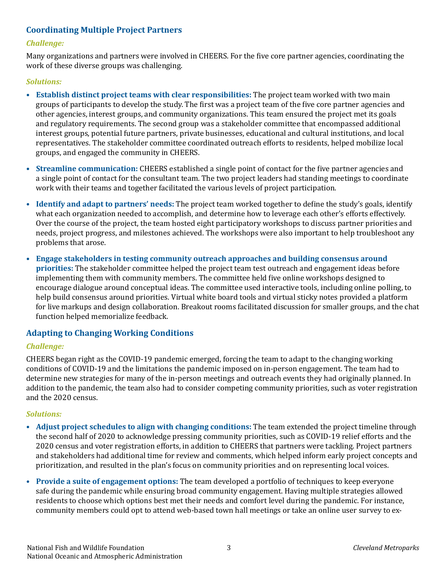# **Coordinating Multiple Project Partners**

#### *Challenge:*

Many organizations and partners were involved in CHEERS. For the five core partner agencies, coordinating the work of these diverse groups was challenging.

#### *Solutions:*

- **• Establish distinct project teams with clear responsibilities:** The project team worked with two main groups of participants to develop the study. The first was a project team of the five core partner agencies and other agencies, interest groups, and community organizations. This team ensured the project met its goals and regulatory requirements. The second group was a stakeholder committee that encompassed additional interest groups, potential future partners, private businesses, educational and cultural institutions, and local representatives. The stakeholder committee coordinated outreach efforts to residents, helped mobilize local groups, and engaged the community in CHEERS.
- **• Streamline communication:** CHEERS established a single point of contact for the five partner agencies and a single point of contact for the consultant team. The two project leaders had standing meetings to coordinate work with their teams and together facilitated the various levels of project participation.
- **• Identify and adapt to partners' needs:** The project team worked together to define the study's goals, identify what each organization needed to accomplish, and determine how to leverage each other's efforts effectively. Over the course of the project, the team hosted eight participatory workshops to discuss partner priorities and needs, project progress, and milestones achieved. The workshops were also important to help troubleshoot any problems that arose.
- **• Engage stakeholders in testing community outreach approaches and building consensus around priorities:** The stakeholder committee helped the project team test outreach and engagement ideas before implementing them with community members. The committee held five online workshops designed to encourage dialogue around conceptual ideas. The committee used interactive tools, including online polling, to help build consensus around priorities. Virtual white board tools and virtual sticky notes provided a platform for live markups and design collaboration. Breakout rooms facilitated discussion for smaller groups, and the chat function helped memorialize feedback.

# **Adapting to Changing Working Conditions**

#### *Challenge:*

CHEERS began right as the COVID-19 pandemic emerged, forcing the team to adapt to the changing working conditions of COVID-19 and the limitations the pandemic imposed on in-person engagement. The team had to determine new strategies for many of the in-person meetings and outreach events they had originally planned. In addition to the pandemic, the team also had to consider competing community priorities, such as voter registration and the 2020 census.

#### *Solutions:*

- **• Adjust project schedules to align with changing conditions:** The team extended the project timeline through the second half of 2020 to acknowledge pressing community priorities, such as COVID-19 relief efforts and the 2020 census and voter registration efforts, in addition to CHEERS that partners were tackling. Project partners and stakeholders had additional time for review and comments, which helped inform early project concepts and prioritization, and resulted in the plan's focus on community priorities and on representing local voices.
- **• Provide a suite of engagement options:** The team developed a portfolio of techniques to keep everyone safe during the pandemic while ensuring broad community engagement. Having multiple strategies allowed residents to choose which options best met their needs and comfort level during the pandemic. For instance, community members could opt to attend web-based town hall meetings or take an online user survey to ex-